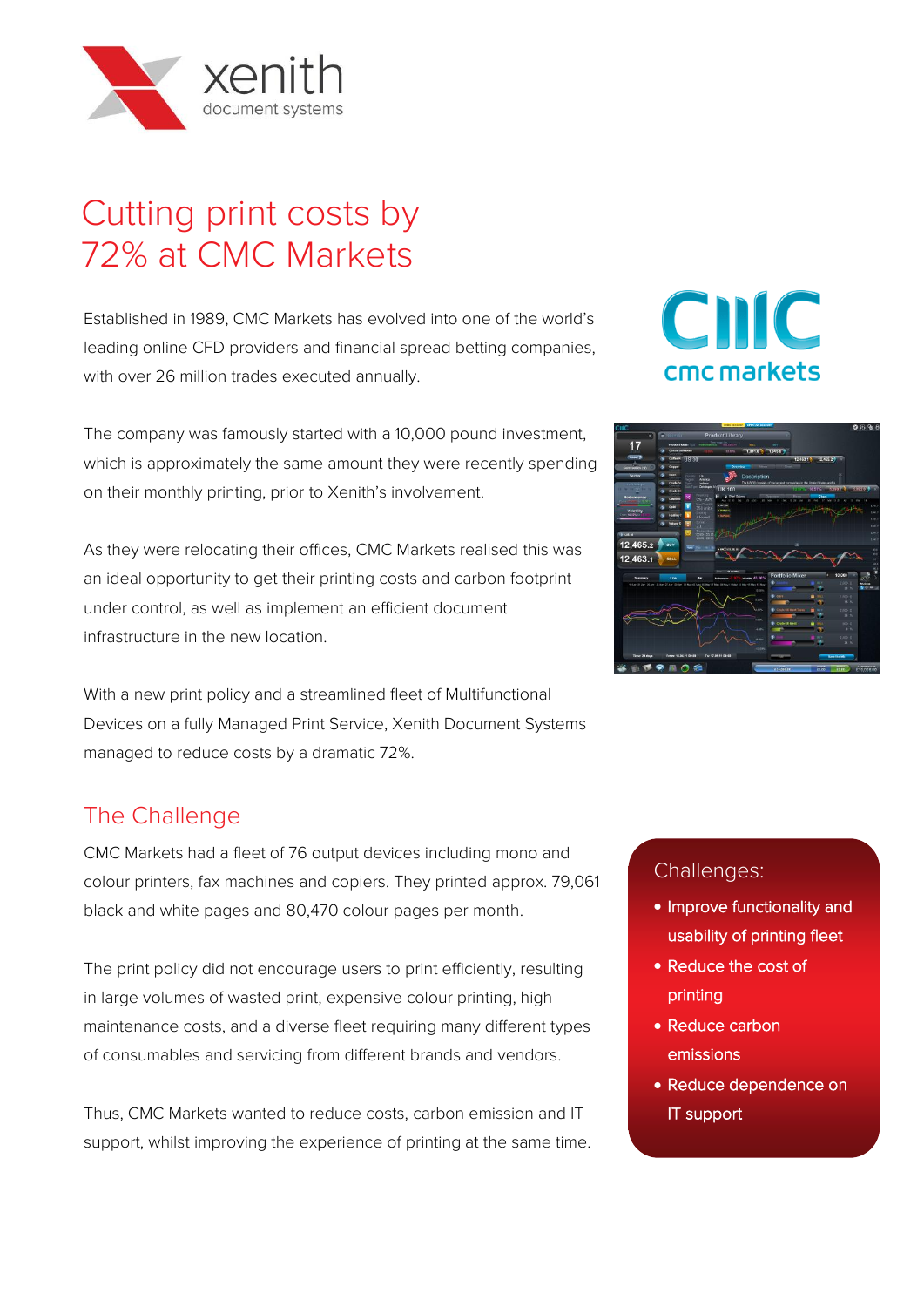

# Cutting print costs by 72% at CMC Markets

Established in 1989, CMC Markets has evolved into one of the world's leading online CFD providers and financial spread betting companies, with over 26 million trades executed annually.

The company was famously started with a 10,000 pound investment, which is approximately the same amount they were recently spending on their monthly printing, prior to Xenith's involvement.

As they were relocating their offices, CMC Markets realised this was an ideal opportunity to get their printing costs and carbon footprint under control, as well as implement an efficient document infrastructure in the new location.

With a new print policy and a streamlined fleet of Multifunctional Devices on a fully Managed Print Service, Xenith Document Systems managed to reduce costs by a dramatic 72%.

## The Challenge

CMC Markets had a fleet of 76 output devices including mono and colour printers, fax machines and copiers. They printed approx. 79,061 black and white pages and 80,470 colour pages per month.

The print policy did not encourage users to print efficiently, resulting in large volumes of wasted print, expensive colour printing, high maintenance costs, and a diverse fleet requiring many different types of consumables and servicing from different brands and vendors.

Thus, CMC Markets wanted to reduce costs, carbon emission and IT support, whilst improving the experience of printing at the same time.

# CIIC cmc markets



#### Challenges:

- Improve functionality and usability of printing fleet
- Reduce the cost of printing
- Reduce carbon emissions
- Reduce dependence on IT support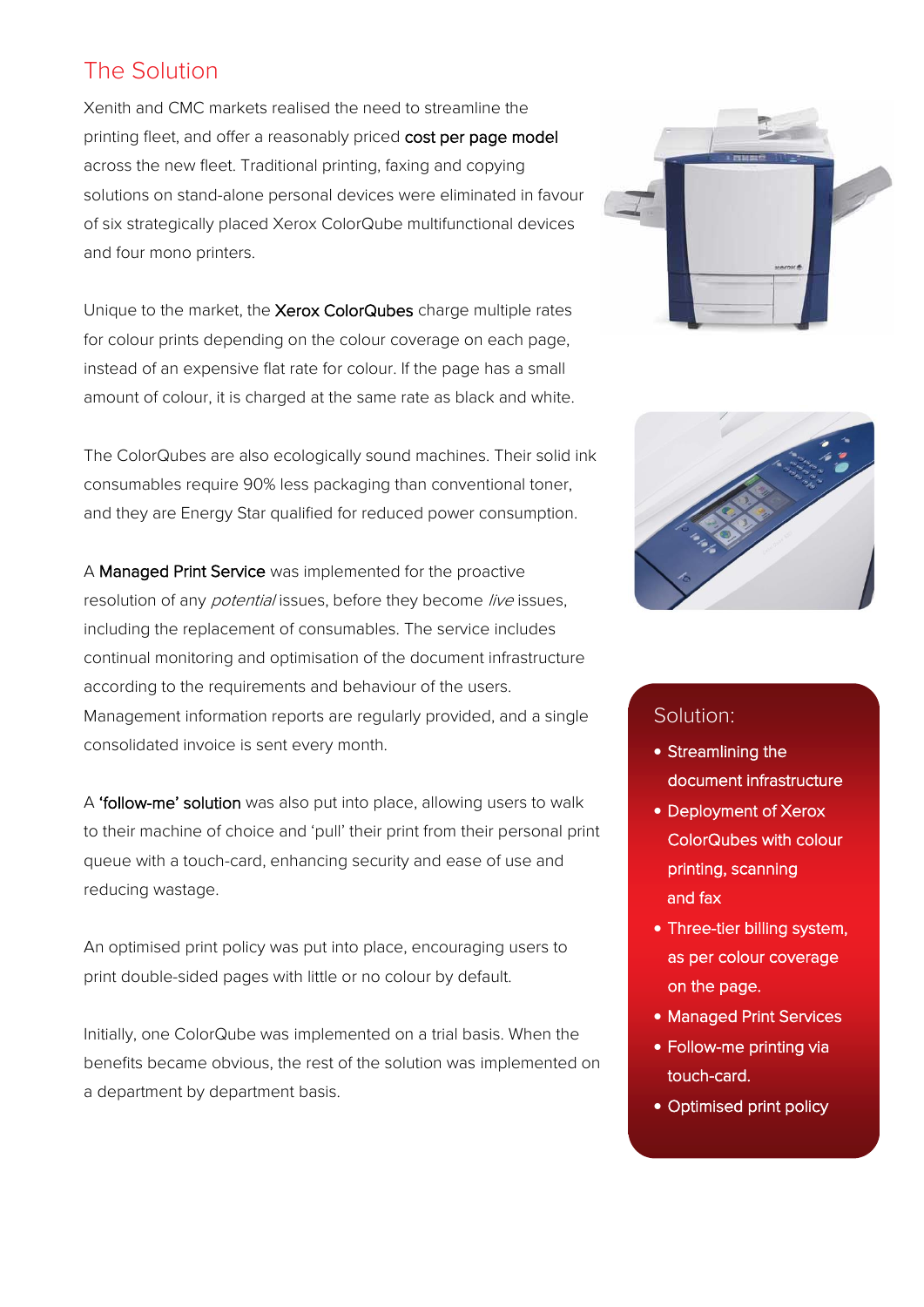### The Solution

Xenith and CMC markets realised the need to streamline the printing fleet, and offer a reasonably priced cost per page model across the new fleet. Traditional printing, faxing and copying solutions on stand-alone personal devices were eliminated in favour of six strategically placed Xerox ColorQube multifunctional devices and four mono printers.

Unique to the market, the Xerox ColorQubes charge multiple rates for colour prints depending on the colour coverage on each page, instead of an expensive flat rate for colour. If the page has a small amount of colour, it is charged at the same rate as black and white.

The ColorQubes are also ecologically sound machines. Their solid ink consumables require 90% less packaging than conventional toner, and they are Energy Star qualified for reduced power consumption.

A Managed Print Service was implemented for the proactive resolution of any *potential* issues, before they become live issues, including the replacement of consumables. The service includes continual monitoring and optimisation of the document infrastructure according to the requirements and behaviour of the users. Management information reports are regularly provided, and a single consolidated invoice is sent every month.

A 'follow-me' solution was also put into place, allowing users to walk to their machine of choice and 'pull' their print from their personal print queue with a touch-card, enhancing security and ease of use and reducing wastage.

An optimised print policy was put into place, encouraging users to print double-sided pages with little or no colour by default.

Initially, one ColorQube was implemented on a trial basis. When the benefits became obvious, the rest of the solution was implemented on a department by department basis.





#### Solution:

- Streamlining the document infrastructure
- Deployment of Xerox ColorQubes with colour printing, scanning and fax
- Three-tier billing system, as per colour coverage on the page.
- Managed Print Services
- Follow-me printing via touch-card.
- Optimised print policy